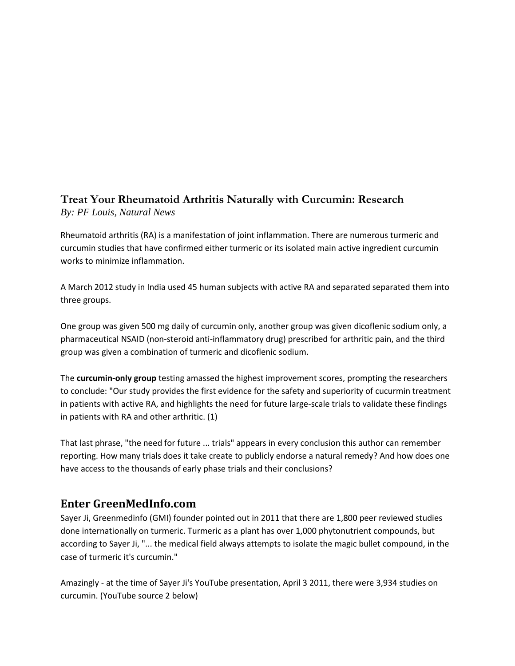## **Treat Your Rheumatoid Arthritis Naturally with Curcumin: Research** *By: PF Louis, Natural News*

Rheumatoid arthritis (RA) is a manifestation of joint inflammation. There are numerous turmeric and curcumin studies that have confirmed either turmeric or its isolated main active ingredient curcumin works to minimize inflammation.

A March 2012 study in India used 45 human subjects with active RA and separated separated them into three groups.

One group was given 500 mg daily of curcumin only, another group was given dicoflenic sodium only, a pharmaceutical NSAID (non-steroid anti-inflammatory drug) prescribed for arthritic pain, and the third group was given a combination of turmeric and dicoflenic sodium.

The **curcumin-only group** testing amassed the highest improvement scores, prompting the researchers to conclude: "Our study provides the first evidence for the safety and superiority of cucurmin treatment in patients with active RA, and highlights the need for future large-scale trials to validate these findings in patients with RA and other arthritic. (1)

That last phrase, "the need for future ... trials" appears in every conclusion this author can remember reporting. How many trials does it take create to publicly endorse a natural remedy? And how does one have access to the thousands of early phase trials and their conclusions?

## **Enter GreenMedInfo.com**

Sayer Ji, Greenmedinfo (GMI) founder pointed out in 2011 that there are 1,800 peer reviewed studies done internationally on turmeric. Turmeric as a plant has over 1,000 phytonutrient compounds, but according to Sayer Ji, "... the medical field always attempts to isolate the magic bullet compound, in the case of [turmeric](http://www.naturalnews.com/turmeric.html) it's curcumin."

Amazingly - at the time of Sayer Ji's YouTube presentation, April 3 2011, there were 3,934 studies on curcumin. (YouTube source 2 below)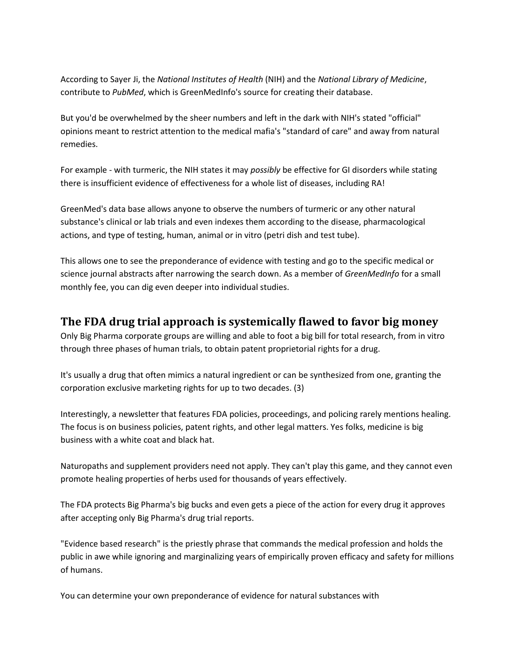According to Sayer Ji, the *National Institutes of Health* (NIH) and the *National Library of Medicine*, contribute to *PubMed*, which is GreenMedInfo's source for creating their database.

But you'd be overwhelmed by the sheer numbers and left in the dark with NIH's stated "official" opinions meant to restrict attention to the medical mafia's "standard of care" and away from [natural](http://www.naturalnews.com/natural.html) remedies.

For example - with turmeric, the NIH states it may *possibly* be effective for GI disorders while stating there is insufficient evidence of effectiveness for a whole list of diseases, including RA!

GreenMed's data base allows anyone to observe the numbers of turmeric or any other natural substance's clinical or lab trials and even indexes them according to the disease, pharmacological actions, and type of testing, human, animal or in vitro (petri dish and test tube).

This allows one to see the preponderance of evidence with testing and go to the specific medical or science journal abstracts after narrowing the search down. As a member of *GreenMedInfo* for a small monthly fee, you can dig even deeper into individual studies.

## **The FDA drug trial approach is systemically flawed to favor big money**

Only Big Pharma corporate groups are willing and able to foot a big bill for total research, from in vitro through three phases of human trials, to obtain patent proprietorial rights for a drug.

It's usually a drug that often mimics a natural ingredient or can be synthesized from one, granting the corporation exclusive marketing rights for up to two decades. (3)

Interestingly, a newsletter that features FDA policies, proceedings, and policing rarely mentions healing. The focus is on business policies, patent rights, and other legal matters. Yes folks, medicine is big business with a white coat and black hat.

Naturopaths and supplement providers need not apply. They can't play this game, and they cannot even promote healing properties of herbs used for thousands of years effectively.

The FDA protects Big Pharma's big bucks and even gets a piece of the action for every drug it approves after accepting only Big Pharma's drug trial reports.

"Evidence based research" is the priestly phrase that commands the medical profession and holds the public in awe while ignoring and marginalizing years of empirically proven efficacy and safety for millions of humans.

You can determine your own preponderance of evidence for natural substances with